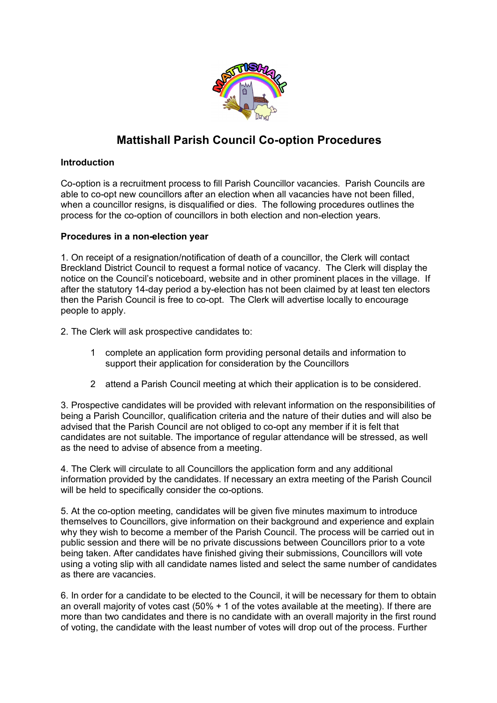

## **Mattishall Parish Council Co-option Procedures**

### **Introduction**

Co-option is a recruitment process to fill Parish Councillor vacancies. Parish Councils are able to co-opt new councillors after an election when all vacancies have not been filled, when a councillor resigns, is disqualified or dies. The following procedures outlines the process for the co-option of councillors in both election and non-election years.

### **Procedures in a non-election year**

1. On receipt of a resignation/notification of death of a councillor, the Clerk will contact Breckland District Council to request a formal notice of vacancy. The Clerk will display the notice on the Council's noticeboard, website and in other prominent places in the village. If after the statutory 14-day period a by-election has not been claimed by at least ten electors then the Parish Council is free to co-opt. The Clerk will advertise locally to encourage people to apply.

2. The Clerk will ask prospective candidates to:

- 1 complete an application form providing personal details and information to support their application for consideration by the Councillors
- 2 attend a Parish Council meeting at which their application is to be considered.

3. Prospective candidates will be provided with relevant information on the responsibilities of being a Parish Councillor, qualification criteria and the nature of their duties and will also be advised that the Parish Council are not obliged to co-opt any member if it is felt that candidates are not suitable. The importance of regular attendance will be stressed, as well as the need to advise of absence from a meeting.

4. The Clerk will circulate to all Councillors the application form and any additional information provided by the candidates. If necessary an extra meeting of the Parish Council will be held to specifically consider the co-options.

5. At the co-option meeting, candidates will be given five minutes maximum to introduce themselves to Councillors, give information on their background and experience and explain why they wish to become a member of the Parish Council. The process will be carried out in public session and there will be no private discussions between Councillors prior to a vote being taken. After candidates have finished giving their submissions, Councillors will vote using a voting slip with all candidate names listed and select the same number of candidates as there are vacancies.

6. In order for a candidate to be elected to the Council, it will be necessary for them to obtain an overall majority of votes cast (50% + 1 of the votes available at the meeting). If there are more than two candidates and there is no candidate with an overall majority in the first round of voting, the candidate with the least number of votes will drop out of the process. Further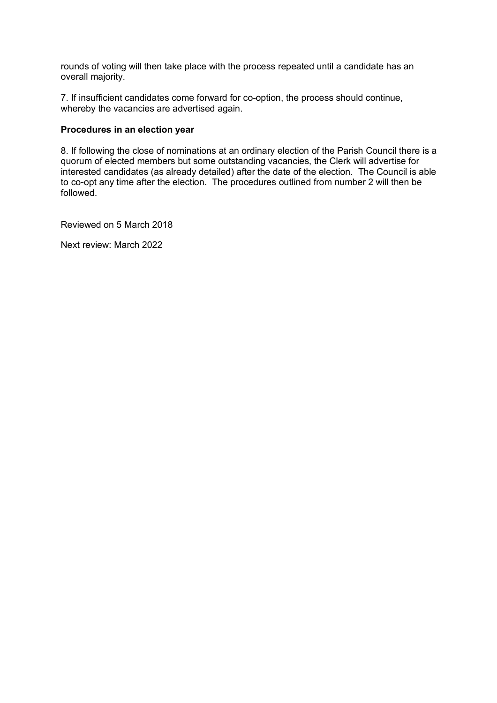rounds of voting will then take place with the process repeated until a candidate has an overall majority.

7. If insufficient candidates come forward for co-option, the process should continue, whereby the vacancies are advertised again.

#### **Procedures in an election year**

8. If following the close of nominations at an ordinary election of the Parish Council there is a quorum of elected members but some outstanding vacancies, the Clerk will advertise for interested candidates (as already detailed) after the date of the election. The Council is able to co-opt any time after the election. The procedures outlined from number 2 will then be followed.

Reviewed on 5 March 2018

Next review: March 2022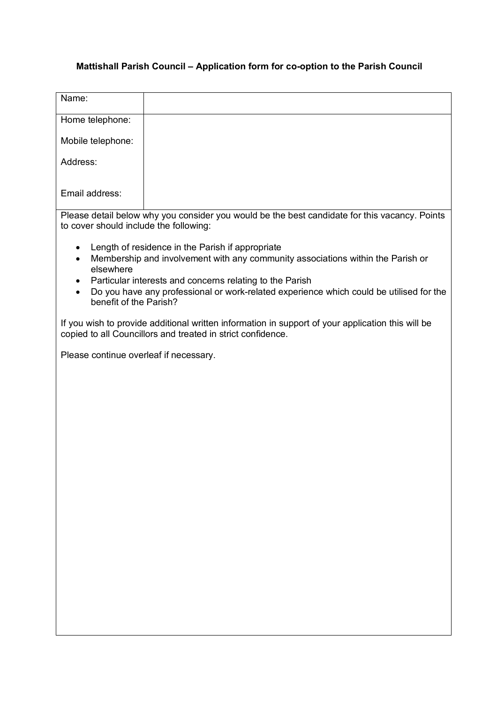# **Mattishall Parish Council – Application form for co-option to the Parish Council**

| Name:                                                                                                                                                                                                                                                                                                                                                       |  |
|-------------------------------------------------------------------------------------------------------------------------------------------------------------------------------------------------------------------------------------------------------------------------------------------------------------------------------------------------------------|--|
| Home telephone:                                                                                                                                                                                                                                                                                                                                             |  |
| Mobile telephone:                                                                                                                                                                                                                                                                                                                                           |  |
| Address:                                                                                                                                                                                                                                                                                                                                                    |  |
| Email address:                                                                                                                                                                                                                                                                                                                                              |  |
| Please detail below why you consider you would be the best candidate for this vacancy. Points<br>to cover should include the following:                                                                                                                                                                                                                     |  |
| Length of residence in the Parish if appropriate<br>$\bullet$<br>Membership and involvement with any community associations within the Parish or<br>$\bullet$<br>elsewhere<br>Particular interests and concerns relating to the Parish<br>Do you have any professional or work-related experience which could be utilised for the<br>benefit of the Parish? |  |
| If you wish to provide additional written information in support of your application this will be<br>copied to all Councillors and treated in strict confidence.                                                                                                                                                                                            |  |
| Please continue overleaf if necessary.                                                                                                                                                                                                                                                                                                                      |  |
|                                                                                                                                                                                                                                                                                                                                                             |  |
|                                                                                                                                                                                                                                                                                                                                                             |  |
|                                                                                                                                                                                                                                                                                                                                                             |  |
|                                                                                                                                                                                                                                                                                                                                                             |  |
|                                                                                                                                                                                                                                                                                                                                                             |  |
|                                                                                                                                                                                                                                                                                                                                                             |  |
|                                                                                                                                                                                                                                                                                                                                                             |  |